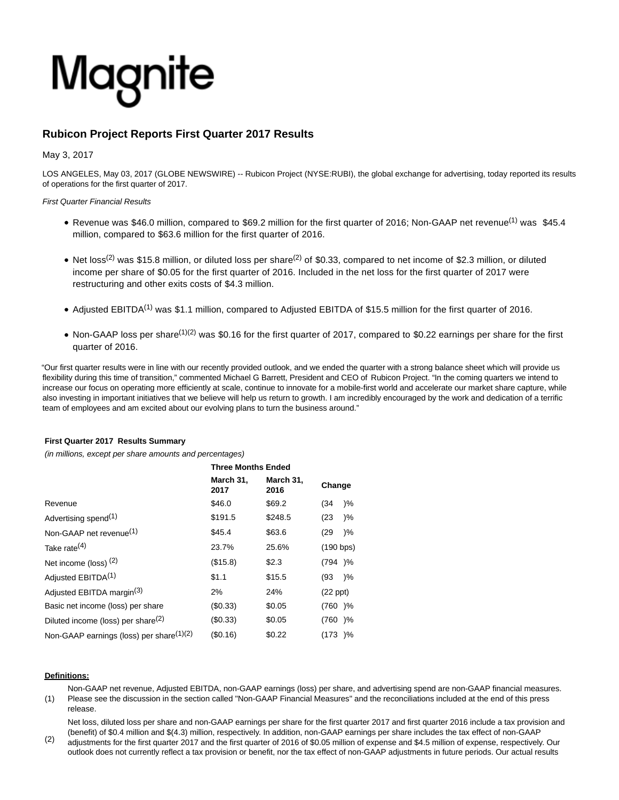# Magnite

# **Rubicon Project Reports First Quarter 2017 Results**

# May 3, 2017

LOS ANGELES, May 03, 2017 (GLOBE NEWSWIRE) -- Rubicon Project (NYSE:RUBI), the global exchange for advertising, today reported its results of operations for the first quarter of 2017.

First Quarter Financial Results

- Revenue was \$46.0 million, compared to \$69.2 million for the first quarter of 2016; Non-GAAP net revenue<sup>(1)</sup> was \$45.4 million, compared to \$63.6 million for the first quarter of 2016.
- Net loss<sup>(2)</sup> was \$15.8 million, or diluted loss per share<sup>(2)</sup> of \$0.33, compared to net income of \$2.3 million, or diluted income per share of \$0.05 for the first quarter of 2016. Included in the net loss for the first quarter of 2017 were restructuring and other exits costs of \$4.3 million.
- Adjusted EBITDA<sup>(1)</sup> was \$1.1 million, compared to Adjusted EBITDA of \$15.5 million for the first quarter of 2016.
- Non-GAAP loss per share<sup>(1)(2)</sup> was \$0.16 for the first quarter of 2017, compared to \$0.22 earnings per share for the first quarter of 2016.

"Our first quarter results were in line with our recently provided outlook, and we ended the quarter with a strong balance sheet which will provide us flexibility during this time of transition," commented Michael G Barrett, President and CEO of Rubicon Project. "In the coming quarters we intend to increase our focus on operating more efficiently at scale, continue to innovate for a mobile-first world and accelerate our market share capture, while also investing in important initiatives that we believe will help us return to growth. I am incredibly encouraged by the work and dedication of a terrific team of employees and am excited about our evolving plans to turn the business around."

# **First Quarter 2017 Results Summary**

(in millions, except per share amounts and percentages)

|                                                      | <b>Three Months Ended</b> |                   |                      |
|------------------------------------------------------|---------------------------|-------------------|----------------------|
|                                                      | March 31,<br>2017         | March 31,<br>2016 | Change               |
| Revenue                                              | \$46.0                    | \$69.2            | )%<br>(34            |
| Advertising spend <sup>(1)</sup>                     | \$191.5                   | \$248.5           | )%<br>(23)           |
| Non-GAAP net revenue <sup>(1)</sup>                  | \$45.4                    | \$63.6            | )%<br>(29            |
| Take rate <sup>(4)</sup>                             | 23.7%                     | 25.6%             | (190 bps)            |
| Net income (loss) (2)                                | (\$15.8)                  | \$2.3             | (794<br>$) \%$       |
| Adjusted EBITDA <sup>(1)</sup>                       | \$1.1                     | \$15.5            | $\frac{9}{6}$<br>(93 |
| Adjusted EBITDA margin <sup>(3)</sup>                | 2%                        | 24%               | $(22$ ppt $)$        |
| Basic net income (loss) per share                    | (S0.33)                   | \$0.05            | (760<br>)%           |
| Diluted income (loss) per share $(2)$                | (S0.33)                   | \$0.05            | (760<br>$) \%$       |
| Non-GAAP earnings (loss) per share <sup>(1)(2)</sup> | (\$0.16)                  | \$0.22            | (173)%               |

# **Definitions:**

(1) Non-GAAP net revenue, Adjusted EBITDA, non-GAAP earnings (loss) per share, and advertising spend are non-GAAP financial measures. Please see the discussion in the section called "Non-GAAP Financial Measures" and the reconciliations included at the end of this press release.

Net loss, diluted loss per share and non-GAAP earnings per share for the first quarter 2017 and first quarter 2016 include a tax provision and (benefit) of \$0.4 million and \$(4.3) million, respectively. In addition, non-GAAP earnings per share includes the tax effect of non-GAAP

(2) adjustments for the first quarter 2017 and the first quarter of 2016 of \$0.05 million of expense and \$4.5 million of expense, respectively. Our outlook does not currently reflect a tax provision or benefit, nor the tax effect of non-GAAP adjustments in future periods. Our actual results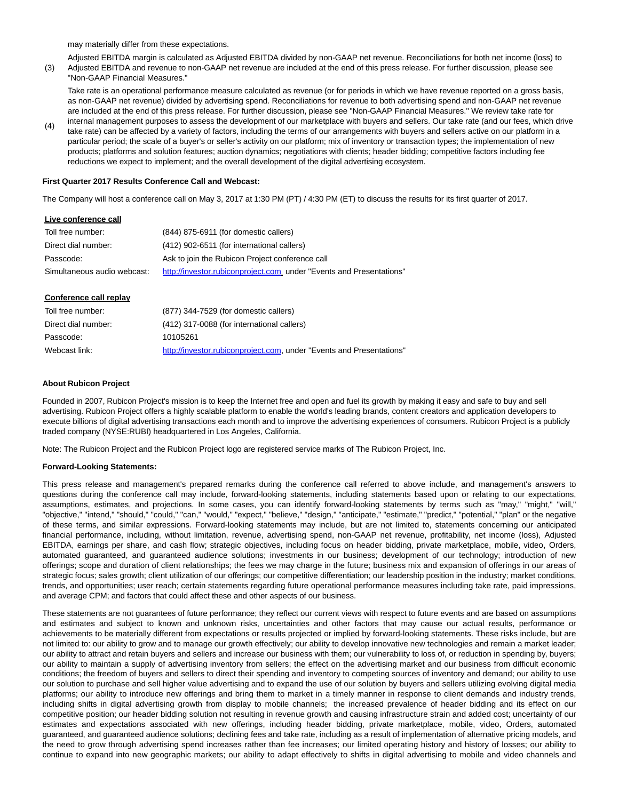may materially differ from these expectations.

(3) Adjusted EBITDA margin is calculated as Adjusted EBITDA divided by non-GAAP net revenue. Reconciliations for both net income (loss) to Adjusted EBITDA and revenue to non-GAAP net revenue are included at the end of this press release. For further discussion, please see "Non-GAAP Financial Measures."

Take rate is an operational performance measure calculated as revenue (or for periods in which we have revenue reported on a gross basis, as non-GAAP net revenue) divided by advertising spend. Reconciliations for revenue to both advertising spend and non-GAAP net revenue are included at the end of this press release. For further discussion, please see "Non-GAAP Financial Measures." We review take rate for

(4) internal management purposes to assess the development of our marketplace with buyers and sellers. Our take rate (and our fees, which drive take rate) can be affected by a variety of factors, including the terms of our arrangements with buyers and sellers active on our platform in a particular period; the scale of a buyer's or seller's activity on our platform; mix of inventory or transaction types; the implementation of new products; platforms and solution features; auction dynamics; negotiations with clients; header bidding; competitive factors including fee reductions we expect to implement; and the overall development of the digital advertising ecosystem.

#### **First Quarter 2017 Results Conference Call and Webcast:**

The Company will host a conference call on May 3, 2017 at 1:30 PM (PT) / 4:30 PM (ET) to discuss the results for its first quarter of 2017.

#### **Live conference call**

| Toll free number:           | (844) 875-6911 (for domestic callers)                               |
|-----------------------------|---------------------------------------------------------------------|
| Direct dial number:         | (412) 902-6511 (for international callers)                          |
| Passcode:                   | Ask to join the Rubicon Project conference call                     |
| Simultaneous audio webcast: | http://investor.rubiconproject.com under "Events and Presentations" |

#### **Conference call replay**

| Toll free number:   | (877) 344-7529 (for domestic callers)                                |
|---------------------|----------------------------------------------------------------------|
| Direct dial number: | (412) 317-0088 (for international callers)                           |
| Passcode:           | 10105261                                                             |
| Webcast link:       | http://investor.rubiconproject.com, under "Events and Presentations" |

#### **About Rubicon Project**

Founded in 2007, Rubicon Project's mission is to keep the Internet free and open and fuel its growth by making it easy and safe to buy and sell advertising. Rubicon Project offers a highly scalable platform to enable the world's leading brands, content creators and application developers to execute billions of digital advertising transactions each month and to improve the advertising experiences of consumers. Rubicon Project is a publicly traded company (NYSE:RUBI) headquartered in Los Angeles, California.

Note: The Rubicon Project and the Rubicon Project logo are registered service marks of The Rubicon Project, Inc.

#### **Forward-Looking Statements:**

This press release and management's prepared remarks during the conference call referred to above include, and management's answers to questions during the conference call may include, forward-looking statements, including statements based upon or relating to our expectations, assumptions, estimates, and projections. In some cases, you can identify forward-looking statements by terms such as "may," "might," "will," "objective," "intend," "should," "could," "can," "would," "expect," "believe," "design," "anticipate," "estimate," "predict," "potential," "plan" or the negative of these terms, and similar expressions. Forward-looking statements may include, but are not limited to, statements concerning our anticipated financial performance, including, without limitation, revenue, advertising spend, non-GAAP net revenue, profitability, net income (loss), Adjusted EBITDA, earnings per share, and cash flow; strategic objectives, including focus on header bidding, private marketplace, mobile, video, Orders, automated guaranteed, and guaranteed audience solutions; investments in our business; development of our technology; introduction of new offerings; scope and duration of client relationships; the fees we may charge in the future; business mix and expansion of offerings in our areas of strategic focus; sales growth; client utilization of our offerings; our competitive differentiation; our leadership position in the industry; market conditions, trends, and opportunities; user reach; certain statements regarding future operational performance measures including take rate, paid impressions, and average CPM; and factors that could affect these and other aspects of our business.

These statements are not guarantees of future performance; they reflect our current views with respect to future events and are based on assumptions and estimates and subject to known and unknown risks, uncertainties and other factors that may cause our actual results, performance or achievements to be materially different from expectations or results projected or implied by forward-looking statements. These risks include, but are not limited to: our ability to grow and to manage our growth effectively; our ability to develop innovative new technologies and remain a market leader; our ability to attract and retain buyers and sellers and increase our business with them; our vulnerability to loss of, or reduction in spending by, buyers; our ability to maintain a supply of advertising inventory from sellers; the effect on the advertising market and our business from difficult economic conditions; the freedom of buyers and sellers to direct their spending and inventory to competing sources of inventory and demand; our ability to use our solution to purchase and sell higher value advertising and to expand the use of our solution by buyers and sellers utilizing evolving digital media platforms; our ability to introduce new offerings and bring them to market in a timely manner in response to client demands and industry trends, including shifts in digital advertising growth from display to mobile channels; the increased prevalence of header bidding and its effect on our competitive position; our header bidding solution not resulting in revenue growth and causing infrastructure strain and added cost; uncertainty of our estimates and expectations associated with new offerings, including header bidding, private marketplace, mobile, video, Orders, automated guaranteed, and guaranteed audience solutions; declining fees and take rate, including as a result of implementation of alternative pricing models, and the need to grow through advertising spend increases rather than fee increases; our limited operating history and history of losses; our ability to continue to expand into new geographic markets; our ability to adapt effectively to shifts in digital advertising to mobile and video channels and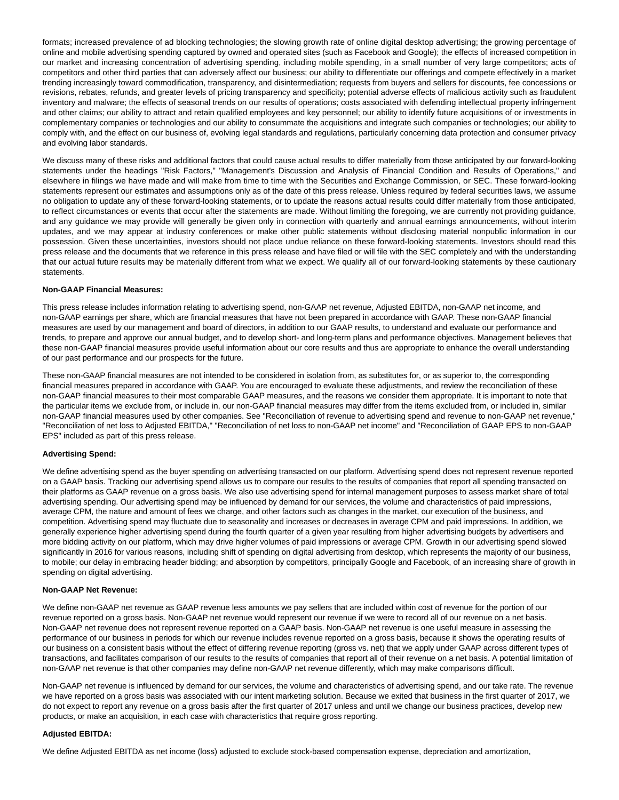formats; increased prevalence of ad blocking technologies; the slowing growth rate of online digital desktop advertising; the growing percentage of online and mobile advertising spending captured by owned and operated sites (such as Facebook and Google); the effects of increased competition in our market and increasing concentration of advertising spending, including mobile spending, in a small number of very large competitors; acts of competitors and other third parties that can adversely affect our business; our ability to differentiate our offerings and compete effectively in a market trending increasingly toward commodification, transparency, and disintermediation; requests from buyers and sellers for discounts, fee concessions or revisions, rebates, refunds, and greater levels of pricing transparency and specificity; potential adverse effects of malicious activity such as fraudulent inventory and malware; the effects of seasonal trends on our results of operations; costs associated with defending intellectual property infringement and other claims; our ability to attract and retain qualified employees and key personnel; our ability to identify future acquisitions of or investments in complementary companies or technologies and our ability to consummate the acquisitions and integrate such companies or technologies; our ability to comply with, and the effect on our business of, evolving legal standards and regulations, particularly concerning data protection and consumer privacy and evolving labor standards.

We discuss many of these risks and additional factors that could cause actual results to differ materially from those anticipated by our forward-looking statements under the headings "Risk Factors," "Management's Discussion and Analysis of Financial Condition and Results of Operations," and elsewhere in filings we have made and will make from time to time with the Securities and Exchange Commission, or SEC. These forward-looking statements represent our estimates and assumptions only as of the date of this press release. Unless required by federal securities laws, we assume no obligation to update any of these forward-looking statements, or to update the reasons actual results could differ materially from those anticipated, to reflect circumstances or events that occur after the statements are made. Without limiting the foregoing, we are currently not providing guidance, and any guidance we may provide will generally be given only in connection with quarterly and annual earnings announcements, without interim updates, and we may appear at industry conferences or make other public statements without disclosing material nonpublic information in our possession. Given these uncertainties, investors should not place undue reliance on these forward-looking statements. Investors should read this press release and the documents that we reference in this press release and have filed or will file with the SEC completely and with the understanding that our actual future results may be materially different from what we expect. We qualify all of our forward-looking statements by these cautionary statements.

# **Non-GAAP Financial Measures:**

This press release includes information relating to advertising spend, non-GAAP net revenue, Adjusted EBITDA, non-GAAP net income, and non-GAAP earnings per share, which are financial measures that have not been prepared in accordance with GAAP. These non-GAAP financial measures are used by our management and board of directors, in addition to our GAAP results, to understand and evaluate our performance and trends, to prepare and approve our annual budget, and to develop short- and long-term plans and performance objectives. Management believes that these non-GAAP financial measures provide useful information about our core results and thus are appropriate to enhance the overall understanding of our past performance and our prospects for the future.

These non-GAAP financial measures are not intended to be considered in isolation from, as substitutes for, or as superior to, the corresponding financial measures prepared in accordance with GAAP. You are encouraged to evaluate these adjustments, and review the reconciliation of these non-GAAP financial measures to their most comparable GAAP measures, and the reasons we consider them appropriate. It is important to note that the particular items we exclude from, or include in, our non-GAAP financial measures may differ from the items excluded from, or included in, similar non-GAAP financial measures used by other companies. See "Reconciliation of revenue to advertising spend and revenue to non-GAAP net revenue," "Reconciliation of net loss to Adjusted EBITDA," "Reconciliation of net loss to non-GAAP net income" and "Reconciliation of GAAP EPS to non-GAAP EPS" included as part of this press release.

#### **Advertising Spend:**

We define advertising spend as the buyer spending on advertising transacted on our platform. Advertising spend does not represent revenue reported on a GAAP basis. Tracking our advertising spend allows us to compare our results to the results of companies that report all spending transacted on their platforms as GAAP revenue on a gross basis. We also use advertising spend for internal management purposes to assess market share of total advertising spending. Our advertising spend may be influenced by demand for our services, the volume and characteristics of paid impressions, average CPM, the nature and amount of fees we charge, and other factors such as changes in the market, our execution of the business, and competition. Advertising spend may fluctuate due to seasonality and increases or decreases in average CPM and paid impressions. In addition, we generally experience higher advertising spend during the fourth quarter of a given year resulting from higher advertising budgets by advertisers and more bidding activity on our platform, which may drive higher volumes of paid impressions or average CPM. Growth in our advertising spend slowed significantly in 2016 for various reasons, including shift of spending on digital advertising from desktop, which represents the majority of our business, to mobile; our delay in embracing header bidding; and absorption by competitors, principally Google and Facebook, of an increasing share of growth in spending on digital advertising.

#### **Non-GAAP Net Revenue:**

We define non-GAAP net revenue as GAAP revenue less amounts we pay sellers that are included within cost of revenue for the portion of our revenue reported on a gross basis. Non-GAAP net revenue would represent our revenue if we were to record all of our revenue on a net basis. Non-GAAP net revenue does not represent revenue reported on a GAAP basis. Non-GAAP net revenue is one useful measure in assessing the performance of our business in periods for which our revenue includes revenue reported on a gross basis, because it shows the operating results of our business on a consistent basis without the effect of differing revenue reporting (gross vs. net) that we apply under GAAP across different types of transactions, and facilitates comparison of our results to the results of companies that report all of their revenue on a net basis. A potential limitation of non-GAAP net revenue is that other companies may define non-GAAP net revenue differently, which may make comparisons difficult.

Non-GAAP net revenue is influenced by demand for our services, the volume and characteristics of advertising spend, and our take rate. The revenue we have reported on a gross basis was associated with our intent marketing solution. Because we exited that business in the first quarter of 2017, we do not expect to report any revenue on a gross basis after the first quarter of 2017 unless and until we change our business practices, develop new products, or make an acquisition, in each case with characteristics that require gross reporting.

#### **Adjusted EBITDA:**

We define Adjusted EBITDA as net income (loss) adjusted to exclude stock-based compensation expense, depreciation and amortization,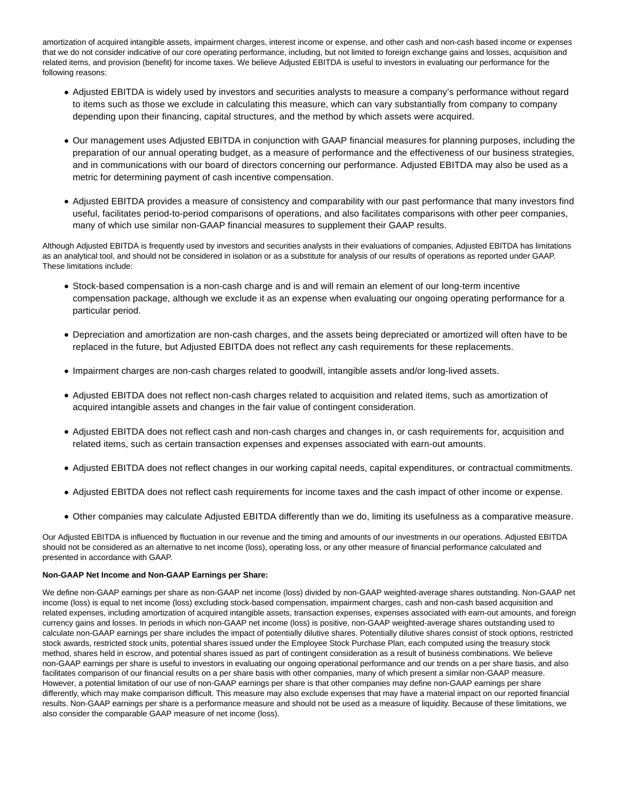amortization of acquired intangible assets, impairment charges, interest income or expense, and other cash and non-cash based income or expenses that we do not consider indicative of our core operating performance, including, but not limited to foreign exchange gains and losses, acquisition and related items, and provision (benefit) for income taxes. We believe Adjusted EBITDA is useful to investors in evaluating our performance for the following reasons:

- Adjusted EBITDA is widely used by investors and securities analysts to measure a company's performance without regard to items such as those we exclude in calculating this measure, which can vary substantially from company to company depending upon their financing, capital structures, and the method by which assets were acquired.
- Our management uses Adjusted EBITDA in conjunction with GAAP financial measures for planning purposes, including the preparation of our annual operating budget, as a measure of performance and the effectiveness of our business strategies, and in communications with our board of directors concerning our performance. Adjusted EBITDA may also be used as a metric for determining payment of cash incentive compensation.
- Adjusted EBITDA provides a measure of consistency and comparability with our past performance that many investors find useful, facilitates period-to-period comparisons of operations, and also facilitates comparisons with other peer companies, many of which use similar non-GAAP financial measures to supplement their GAAP results.

Although Adjusted EBITDA is frequently used by investors and securities analysts in their evaluations of companies, Adjusted EBITDA has limitations as an analytical tool, and should not be considered in isolation or as a substitute for analysis of our results of operations as reported under GAAP. These limitations include:

- Stock-based compensation is a non-cash charge and is and will remain an element of our long-term incentive compensation package, although we exclude it as an expense when evaluating our ongoing operating performance for a particular period.
- Depreciation and amortization are non-cash charges, and the assets being depreciated or amortized will often have to be replaced in the future, but Adjusted EBITDA does not reflect any cash requirements for these replacements.
- Impairment charges are non-cash charges related to goodwill, intangible assets and/or long-lived assets.
- Adjusted EBITDA does not reflect non-cash charges related to acquisition and related items, such as amortization of acquired intangible assets and changes in the fair value of contingent consideration.
- Adjusted EBITDA does not reflect cash and non-cash charges and changes in, or cash requirements for, acquisition and related items, such as certain transaction expenses and expenses associated with earn-out amounts.
- Adjusted EBITDA does not reflect changes in our working capital needs, capital expenditures, or contractual commitments.
- Adjusted EBITDA does not reflect cash requirements for income taxes and the cash impact of other income or expense.
- Other companies may calculate Adjusted EBITDA differently than we do, limiting its usefulness as a comparative measure.

Our Adjusted EBITDA is influenced by fluctuation in our revenue and the timing and amounts of our investments in our operations. Adjusted EBITDA should not be considered as an alternative to net income (loss), operating loss, or any other measure of financial performance calculated and presented in accordance with GAAP.

# **Non-GAAP Net Income and Non-GAAP Earnings per Share:**

We define non-GAAP earnings per share as non-GAAP net income (loss) divided by non-GAAP weighted-average shares outstanding. Non-GAAP net income (loss) is equal to net income (loss) excluding stock-based compensation, impairment charges, cash and non-cash based acquisition and related expenses, including amortization of acquired intangible assets, transaction expenses, expenses associated with earn-out amounts, and foreign currency gains and losses. In periods in which non-GAAP net income (loss) is positive, non-GAAP weighted-average shares outstanding used to calculate non-GAAP earnings per share includes the impact of potentially dilutive shares. Potentially dilutive shares consist of stock options, restricted stock awards, restricted stock units, potential shares issued under the Employee Stock Purchase Plan, each computed using the treasury stock method, shares held in escrow, and potential shares issued as part of contingent consideration as a result of business combinations. We believe non-GAAP earnings per share is useful to investors in evaluating our ongoing operational performance and our trends on a per share basis, and also facilitates comparison of our financial results on a per share basis with other companies, many of which present a similar non-GAAP measure. However, a potential limitation of our use of non-GAAP earnings per share is that other companies may define non-GAAP earnings per share differently, which may make comparison difficult. This measure may also exclude expenses that may have a material impact on our reported financial results. Non-GAAP earnings per share is a performance measure and should not be used as a measure of liquidity. Because of these limitations, we also consider the comparable GAAP measure of net income (loss).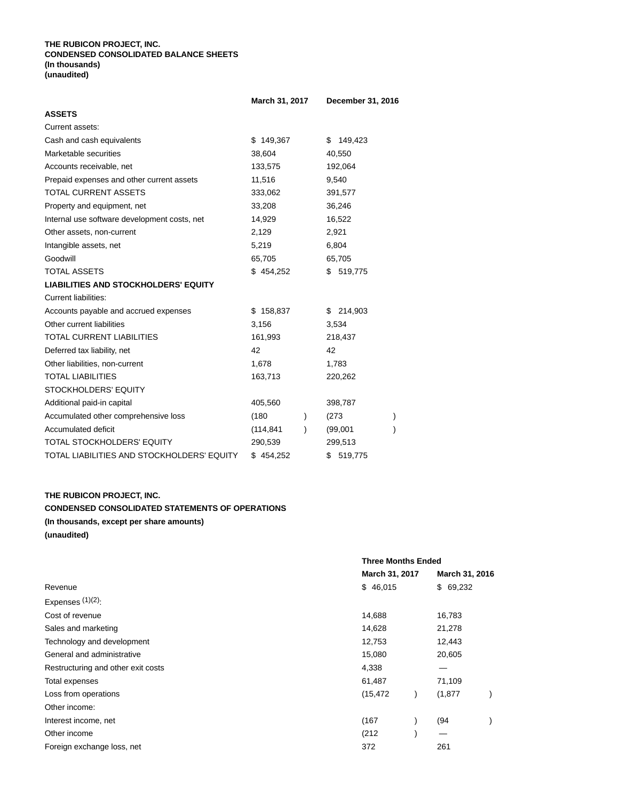## **THE RUBICON PROJECT, INC. CONDENSED CONSOLIDATED BALANCE SHEETS (In thousands) (unaudited)**

|                                              | March 31, 2017         | December 31, 2016         |
|----------------------------------------------|------------------------|---------------------------|
| <b>ASSETS</b>                                |                        |                           |
| Current assets:                              |                        |                           |
| Cash and cash equivalents                    | \$149,367              | \$149,423                 |
| Marketable securities                        | 38,604                 | 40,550                    |
| Accounts receivable, net                     | 133,575                | 192,064                   |
| Prepaid expenses and other current assets    | 11,516                 | 9,540                     |
| <b>TOTAL CURRENT ASSETS</b>                  | 333,062                | 391,577                   |
| Property and equipment, net                  | 33,208                 | 36,246                    |
| Internal use software development costs, net | 14,929                 | 16,522                    |
| Other assets, non-current                    | 2,129                  | 2,921                     |
| Intangible assets, net                       | 5,219                  | 6,804                     |
| Goodwill                                     | 65,705                 | 65,705                    |
| <b>TOTAL ASSETS</b>                          | \$454,252              | \$519,775                 |
| <b>LIABILITIES AND STOCKHOLDERS' EQUITY</b>  |                        |                           |
| <b>Current liabilities:</b>                  |                        |                           |
| Accounts payable and accrued expenses        | \$158,837              | \$214,903                 |
| Other current liabilities                    | 3,156                  | 3,534                     |
| <b>TOTAL CURRENT LIABILITIES</b>             | 161,993                | 218,437                   |
| Deferred tax liability, net                  | 42                     | 42                        |
| Other liabilities, non-current               | 1,678                  | 1,783                     |
| <b>TOTAL LIABILITIES</b>                     | 163,713                | 220,262                   |
| STOCKHOLDERS' EQUITY                         |                        |                           |
| Additional paid-in capital                   | 405,560                | 398,787                   |
| Accumulated other comprehensive loss         | (180)<br>$\mathcal{C}$ | (273)<br>$\mathcal{C}$    |
| <b>Accumulated deficit</b>                   | (114, 841)             | (99,001)<br>$\mathcal{E}$ |
| TOTAL STOCKHOLDERS' EQUITY                   | 290,539                | 299,513                   |
| TOTAL LIABILITIES AND STOCKHOLDERS' EQUITY   | \$454,252              | \$519,775                 |
|                                              |                        |                           |

# **THE RUBICON PROJECT, INC.**

# **CONDENSED CONSOLIDATED STATEMENTS OF OPERATIONS (In thousands, except per share amounts)**

**(unaudited)**

|                                    | <b>Three Months Ended</b> |                |  |
|------------------------------------|---------------------------|----------------|--|
|                                    | March 31, 2017            | March 31, 2016 |  |
| Revenue                            | \$46,015                  | \$69,232       |  |
| Expenses $(1)(2)$ :                |                           |                |  |
| Cost of revenue                    | 14,688                    | 16,783         |  |
| Sales and marketing                | 14,628                    | 21,278         |  |
| Technology and development         | 12,753                    | 12,443         |  |
| General and administrative         | 15,080                    | 20,605         |  |
| Restructuring and other exit costs | 4,338                     |                |  |
| Total expenses                     | 61,487                    | 71,109         |  |
| Loss from operations               | (15, 472)                 | (1, 877)       |  |
| Other income:                      |                           |                |  |
| Interest income, net               | (167)                     | (94            |  |
| Other income                       | (212)                     | —              |  |
| Foreign exchange loss, net         | 372                       | 261            |  |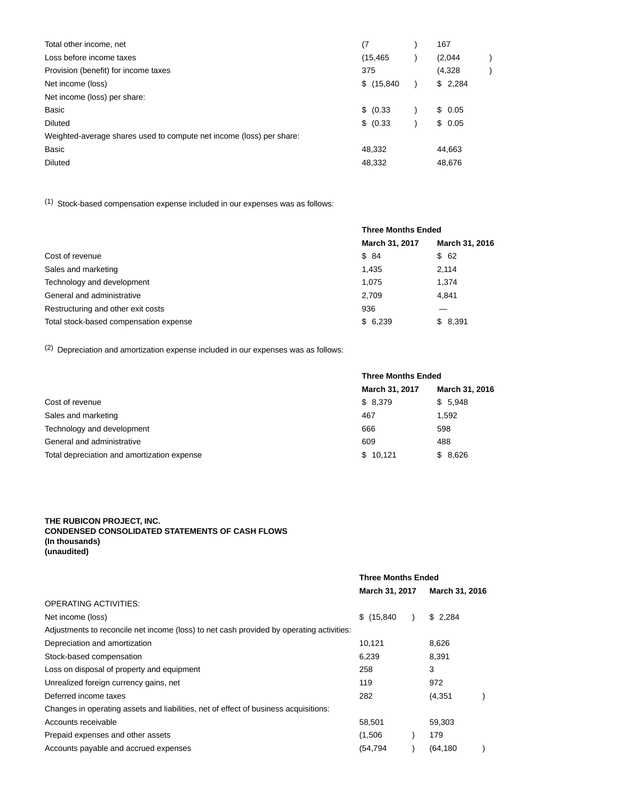| Total other income, net                                              | (7             | 167     |  |
|----------------------------------------------------------------------|----------------|---------|--|
| Loss before income taxes                                             | (15, 465)      | (2,044) |  |
| Provision (benefit) for income taxes                                 | 375            | (4,328) |  |
| Net income (loss)                                                    | $$^{(15,840)}$ | \$2,284 |  |
| Net income (loss) per share:                                         |                |         |  |
| Basic                                                                | \$ (0.33)      | \$0.05  |  |
| Diluted                                                              | \$ (0.33)      | \$0.05  |  |
| Weighted-average shares used to compute net income (loss) per share: |                |         |  |
| Basic                                                                | 48,332         | 44,663  |  |
| Diluted                                                              | 48,332         | 48,676  |  |
|                                                                      |                |         |  |

(1) Stock-based compensation expense included in our expenses was as follows:

|                                        | <b>Three Months Ended</b> |                |
|----------------------------------------|---------------------------|----------------|
|                                        | March 31, 2017            | March 31, 2016 |
| Cost of revenue                        | \$84                      | \$ 62          |
| Sales and marketing                    | 1.435                     | 2.114          |
| Technology and development             | 1.075                     | 1.374          |
| General and administrative             | 2.709                     | 4.841          |
| Restructuring and other exit costs     | 936                       |                |
| Total stock-based compensation expense | \$6,239                   | \$8,391        |

(2) Depreciation and amortization expense included in our expenses was as follows:

|                                             | <b>Three Months Ended</b> |                |
|---------------------------------------------|---------------------------|----------------|
|                                             | March 31, 2017            | March 31, 2016 |
| Cost of revenue                             | \$ 8.379                  | \$5.948        |
| Sales and marketing                         | 467                       | 1.592          |
| Technology and development                  | 666                       | 598            |
| General and administrative                  | 609                       | 488            |
| Total depreciation and amortization expense | \$10.121                  | \$8,626        |

### **THE RUBICON PROJECT, INC. CONDENSED CONSOLIDATED STATEMENTS OF CASH FLOWS (In thousands) (unaudited)**

|                                                                                          | <b>Three Months Ended</b> |  |                |  |
|------------------------------------------------------------------------------------------|---------------------------|--|----------------|--|
|                                                                                          | March 31, 2017            |  | March 31, 2016 |  |
| <b>OPERATING ACTIVITIES:</b>                                                             |                           |  |                |  |
| Net income (loss)                                                                        | \$(15,840)                |  | \$2,284        |  |
| Adjustments to reconcile net income (loss) to net cash provided by operating activities: |                           |  |                |  |
| Depreciation and amortization                                                            | 10,121                    |  | 8,626          |  |
| Stock-based compensation                                                                 | 6,239                     |  | 8.391          |  |
| Loss on disposal of property and equipment                                               | 258                       |  | 3              |  |
| Unrealized foreign currency gains, net                                                   | 119                       |  | 972            |  |
| Deferred income taxes                                                                    | 282                       |  | (4, 351)       |  |
| Changes in operating assets and liabilities, net of effect of business acquisitions:     |                           |  |                |  |
| Accounts receivable                                                                      | 58,501                    |  | 59,303         |  |
| Prepaid expenses and other assets                                                        | (1,506)                   |  | 179            |  |
| Accounts payable and accrued expenses                                                    | (54, 794)                 |  | (64, 180)      |  |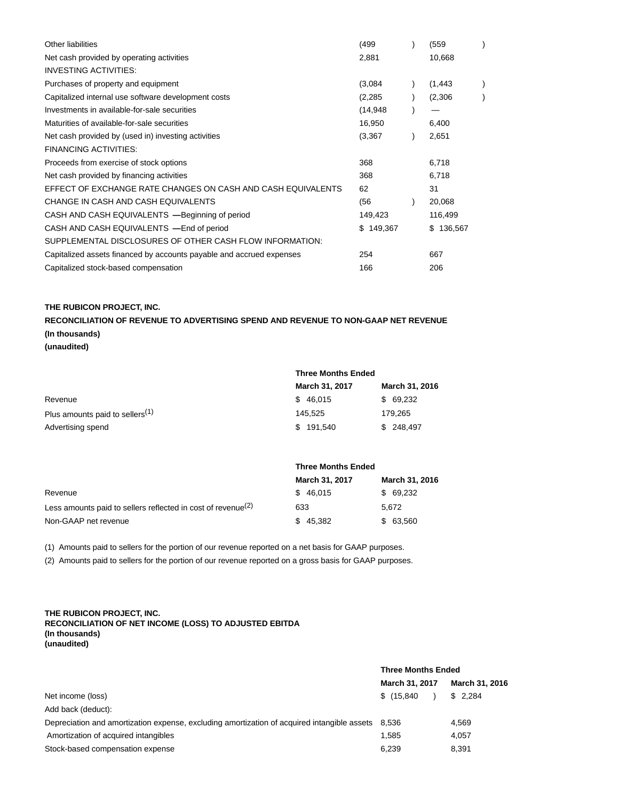| Other liabilities                                                    | (499      | (559      |  |
|----------------------------------------------------------------------|-----------|-----------|--|
| Net cash provided by operating activities                            | 2,881     | 10,668    |  |
| <b>INVESTING ACTIVITIES:</b>                                         |           |           |  |
| Purchases of property and equipment                                  | (3,084)   | (1, 443)  |  |
| Capitalized internal use software development costs                  | (2,285    | (2,306)   |  |
| Investments in available-for-sale securities                         | (14, 948) |           |  |
| Maturities of available-for-sale securities                          | 16,950    | 6,400     |  |
| Net cash provided by (used in) investing activities                  | (3,367)   | 2,651     |  |
| <b>FINANCING ACTIVITIES:</b>                                         |           |           |  |
| Proceeds from exercise of stock options                              | 368       | 6,718     |  |
| Net cash provided by financing activities                            | 368       | 6,718     |  |
| EFFECT OF EXCHANGE RATE CHANGES ON CASH AND CASH EQUIVALENTS         | 62        | 31        |  |
| CHANGE IN CASH AND CASH EQUIVALENTS                                  | (56       | 20,068    |  |
| CASH AND CASH EQUIVALENTS - Beginning of period                      | 149,423   | 116,499   |  |
| CASH AND CASH EQUIVALENTS - End of period                            | \$149,367 | \$136,567 |  |
| SUPPLEMENTAL DISCLOSURES OF OTHER CASH FLOW INFORMATION:             |           |           |  |
| Capitalized assets financed by accounts payable and accrued expenses | 254       | 667       |  |
| Capitalized stock-based compensation                                 | 166       | 206       |  |

# **THE RUBICON PROJECT, INC.**

# **RECONCILIATION OF REVENUE TO ADVERTISING SPEND AND REVENUE TO NON-GAAP NET REVENUE (In thousands)**

**(unaudited)**

|                                             | <b>Three Months Ended</b> |                |
|---------------------------------------------|---------------------------|----------------|
|                                             | March 31, 2017            | March 31, 2016 |
| Revenue                                     | \$46.015                  | \$69.232       |
| Plus amounts paid to sellers <sup>(1)</sup> | 145.525                   | 179.265        |
| Advertising spend                           | \$191.540                 | \$248,497      |

|                                                                 | <b>Three Months Ended</b> |                |  |
|-----------------------------------------------------------------|---------------------------|----------------|--|
|                                                                 | March 31, 2017            | March 31, 2016 |  |
| Revenue                                                         | \$46.015                  | \$69.232       |  |
| Less amounts paid to sellers reflected in cost of revenue $(2)$ | 633                       | 5.672          |  |
| Non-GAAP net revenue                                            | \$45.382                  | 63,560<br>\$.  |  |

(1) Amounts paid to sellers for the portion of our revenue reported on a net basis for GAAP purposes.

(2) Amounts paid to sellers for the portion of our revenue reported on a gross basis for GAAP purposes.

# **THE RUBICON PROJECT, INC. RECONCILIATION OF NET INCOME (LOSS) TO ADJUSTED EBITDA (In thousands) (unaudited)**

|                                                                                             | <b>Three Months Ended</b> |                |  |  |
|---------------------------------------------------------------------------------------------|---------------------------|----------------|--|--|
|                                                                                             | <b>March 31, 2017</b>     | March 31, 2016 |  |  |
| Net income (loss)                                                                           | \$(15, 840)               | \$2.284        |  |  |
| Add back (deduct):                                                                          |                           |                |  |  |
| Depreciation and amortization expense, excluding amortization of acquired intangible assets | 8.536                     | 4,569          |  |  |
| Amortization of acquired intangibles                                                        | 1.585                     | 4,057          |  |  |
| Stock-based compensation expense                                                            | 6.239                     | 8,391          |  |  |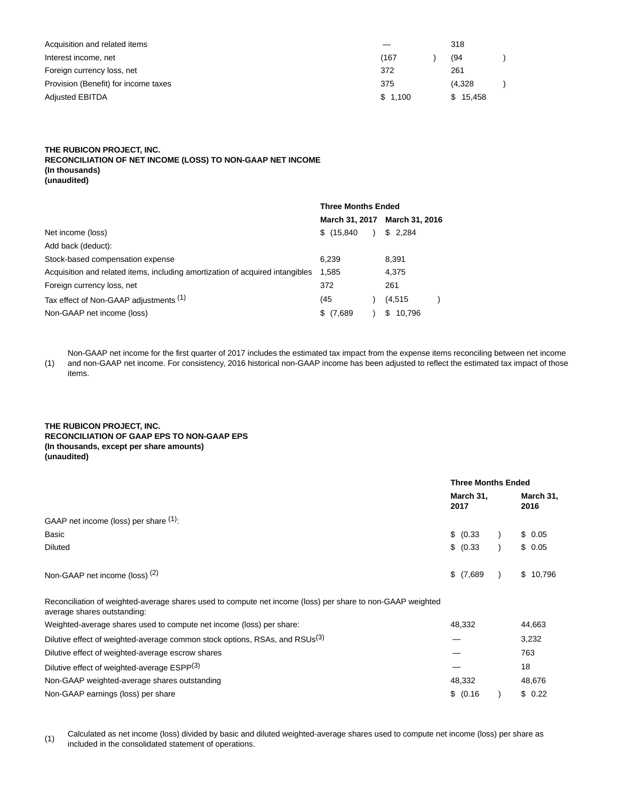| Acquisition and related items        |         | 318      |  |
|--------------------------------------|---------|----------|--|
| Interest income, net                 | (167    | (94      |  |
| Foreign currency loss, net           | 372     | 261      |  |
| Provision (Benefit) for income taxes | 375     | (4,328)  |  |
| <b>Adjusted EBITDA</b>               | \$1.100 | \$15.458 |  |

## **THE RUBICON PROJECT, INC. RECONCILIATION OF NET INCOME (LOSS) TO NON-GAAP NET INCOME (In thousands) (unaudited)**

|                                                                               | <b>Three Months Ended</b> |                |  |
|-------------------------------------------------------------------------------|---------------------------|----------------|--|
|                                                                               | March 31, 2017            | March 31, 2016 |  |
| Net income (loss)                                                             | $$^{(15,840)}$            | \$2,284        |  |
| Add back (deduct):                                                            |                           |                |  |
| Stock-based compensation expense                                              | 6.239                     | 8,391          |  |
| Acquisition and related items, including amortization of acquired intangibles | 1.585                     | 4,375          |  |
| Foreign currency loss, net                                                    | 372                       | 261            |  |
| Tax effect of Non-GAAP adjustments (1)                                        | (45                       | (4.515)        |  |
| Non-GAAP net income (loss)                                                    | (7,689<br>S.              | \$10,796       |  |

(1) Non-GAAP net income for the first quarter of 2017 includes the estimated tax impact from the expense items reconciling between net income and non-GAAP net income. For consistency, 2016 historical non-GAAP income has been adjusted to reflect the estimated tax impact of those items.

# **THE RUBICON PROJECT, INC. RECONCILIATION OF GAAP EPS TO NON-GAAP EPS (In thousands, except per share amounts) (unaudited)**

|                                                                                                                                           |      | <b>Three Months Ended</b> |  |     |                   |
|-------------------------------------------------------------------------------------------------------------------------------------------|------|---------------------------|--|-----|-------------------|
|                                                                                                                                           | 2017 | March 31,                 |  |     | March 31,<br>2016 |
| GAAP net income (loss) per share (1).                                                                                                     |      |                           |  |     |                   |
| Basic                                                                                                                                     |      | \$ (0.33)                 |  |     | \$0.05            |
| <b>Diluted</b>                                                                                                                            |      | \$ (0.33)                 |  |     | \$0.05            |
| Non-GAAP net income (loss) (2)                                                                                                            |      | $$^{(7,689)}$             |  |     | \$10,796          |
| Reconciliation of weighted-average shares used to compute net income (loss) per share to non-GAAP weighted<br>average shares outstanding: |      |                           |  |     |                   |
| Weighted-average shares used to compute net income (loss) per share:                                                                      |      | 48,332                    |  |     | 44,663            |
| Dilutive effect of weighted-average common stock options, RSAs, and RSUs <sup>(3)</sup>                                                   |      |                           |  |     | 3,232             |
| Dilutive effect of weighted-average escrow shares                                                                                         |      |                           |  | 763 |                   |
| Dilutive effect of weighted-average ESPP(3)                                                                                               |      |                           |  | 18  |                   |
| Non-GAAP weighted-average shares outstanding                                                                                              |      | 48,332                    |  |     | 48,676            |
| Non-GAAP earnings (loss) per share                                                                                                        |      | \$ (0.16)                 |  |     | \$0.22            |

(1) Calculated as net income (loss) divided by basic and diluted weighted-average shares used to compute net income (loss) per share as included in the consolidated statement of operations.